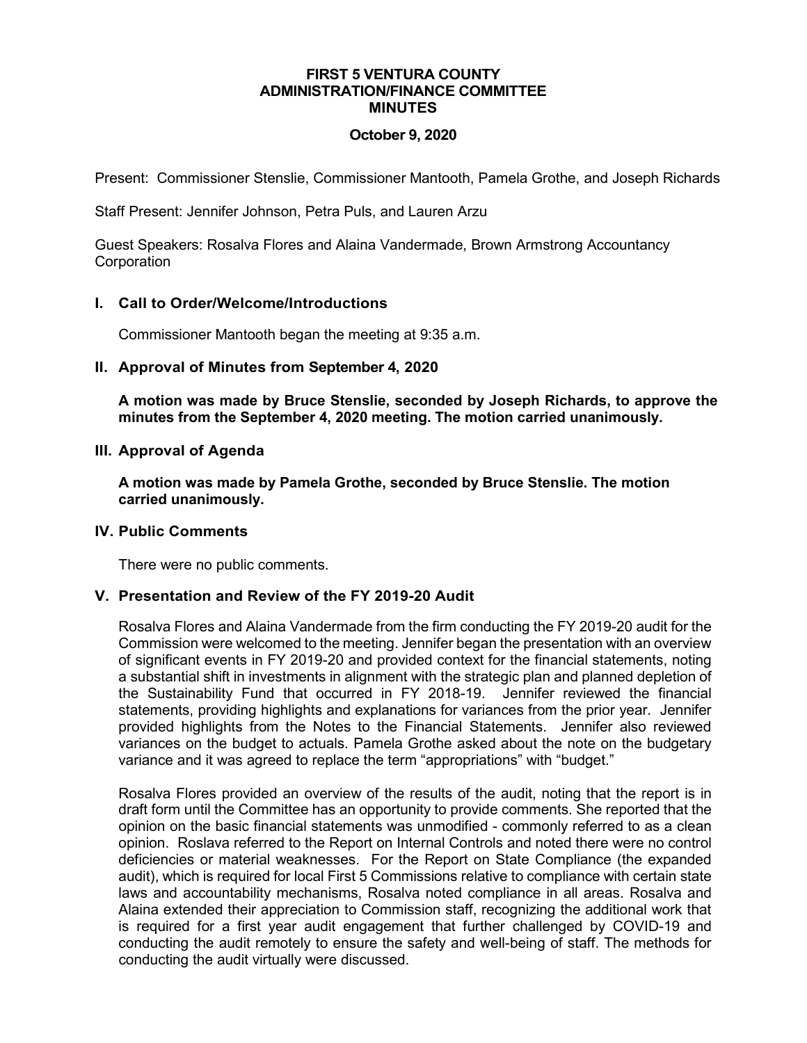#### **FIRST 5 VENTURA COUNTY ADMINISTRATION/FINANCE COMMITTEE MINUTES**

## **October 9, 2020**

Present: Commissioner Stenslie, Commissioner Mantooth, Pamela Grothe, and Joseph Richards

Staff Present: Jennifer Johnson, Petra Puls, and Lauren Arzu

Guest Speakers: Rosalva Flores and Alaina Vandermade, Brown Armstrong Accountancy **Corporation** 

## **I. Call to Order/Welcome/Introductions**

Commissioner Mantooth began the meeting at 9:35 a.m.

## **II. Approval of Minutes from September 4, 2020**

**A motion was made by Bruce Stenslie, seconded by Joseph Richards, to approve the minutes from the September 4, 2020 meeting. The motion carried unanimously.**

## **III. Approval of Agenda**

**A motion was made by Pamela Grothe, seconded by Bruce Stenslie. The motion carried unanimously.**

### **IV. Public Comments**

There were no public comments.

# **V. Presentation and Review of the FY 2019-20 Audit**

Rosalva Flores and Alaina Vandermade from the firm conducting the FY 2019-20 audit for the Commission were welcomed to the meeting. Jennifer began the presentation with an overview of significant events in FY 2019-20 and provided context for the financial statements, noting a substantial shift in investments in alignment with the strategic plan and planned depletion of the Sustainability Fund that occurred in FY 2018-19. Jennifer reviewed the financial statements, providing highlights and explanations for variances from the prior year. Jennifer provided highlights from the Notes to the Financial Statements. Jennifer also reviewed variances on the budget to actuals. Pamela Grothe asked about the note on the budgetary variance and it was agreed to replace the term "appropriations" with "budget."

Rosalva Flores provided an overview of the results of the audit, noting that the report is in draft form until the Committee has an opportunity to provide comments. She reported that the opinion on the basic financial statements was unmodified - commonly referred to as a clean opinion. Roslava referred to the Report on Internal Controls and noted there were no control deficiencies or material weaknesses. For the Report on State Compliance (the expanded audit), which is required for local First 5 Commissions relative to compliance with certain state laws and accountability mechanisms, Rosalva noted compliance in all areas. Rosalva and Alaina extended their appreciation to Commission staff, recognizing the additional work that is required for a first year audit engagement that further challenged by COVID-19 and conducting the audit remotely to ensure the safety and well-being of staff. The methods for conducting the audit virtually were discussed.